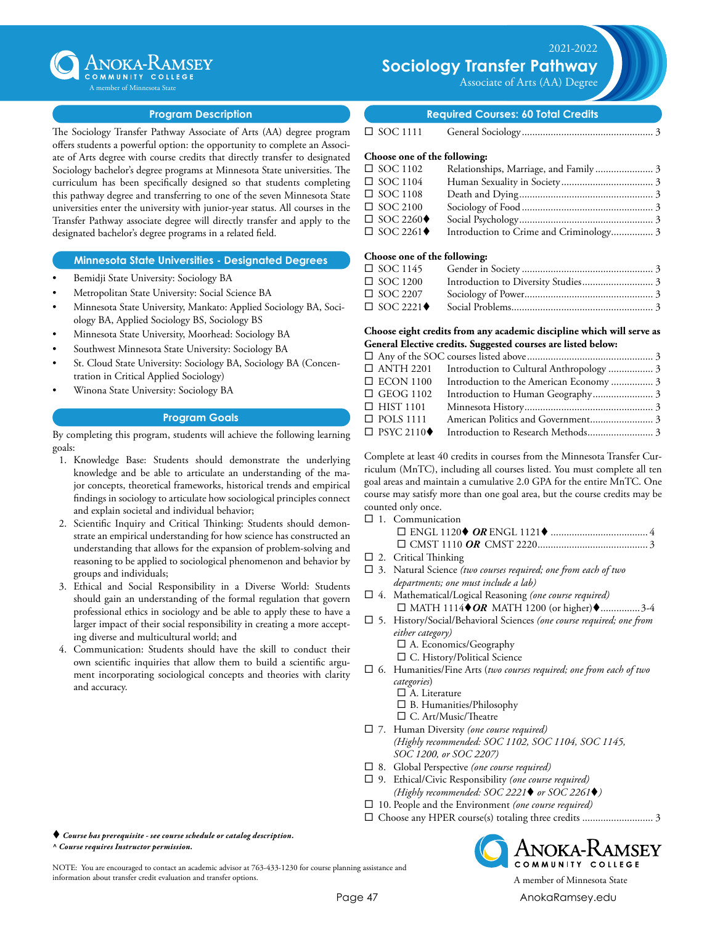

Associate of Arts (AA) Degree



### **Program Description**

The Sociology Transfer Pathway Associate of Arts (AA) degree program offers students a powerful option: the opportunity to complete an Associate of Arts degree with course credits that directly transfer to designated Sociology bachelor's degree programs at Minnesota State universities. The curriculum has been specifically designed so that students completing this pathway degree and transferring to one of the seven Minnesota State universities enter the university with junior-year status. All courses in the Transfer Pathway associate degree will directly transfer and apply to the designated bachelor's degree programs in a related field.

#### **Minnesota State Universities - Designated Degrees**

- Bemidji State University: Sociology BA
- Metropolitan State University: Social Science BA
- Minnesota State University, Mankato: Applied Sociology BA, Sociology BA, Applied Sociology BS, Sociology BS
- Minnesota State University, Moorhead: Sociology BA
- Southwest Minnesota State University: Sociology BA
- St. Cloud State University: Sociology BA, Sociology BA (Concentration in Critical Applied Sociology)
- Winona State University: Sociology BA

#### **Program Goals**

By completing this program, students will achieve the following learning goals:

- 1. Knowledge Base: Students should demonstrate the underlying knowledge and be able to articulate an understanding of the major concepts, theoretical frameworks, historical trends and empirical findings in sociology to articulate how sociological principles connect and explain societal and individual behavior;
- 2. Scientific Inquiry and Critical Thinking: Students should demonstrate an empirical understanding for how science has constructed an understanding that allows for the expansion of problem-solving and reasoning to be applied to sociological phenomenon and behavior by groups and individuals;
- 3. Ethical and Social Responsibility in a Diverse World: Students should gain an understanding of the formal regulation that govern professional ethics in sociology and be able to apply these to have a larger impact of their social responsibility in creating a more accepting diverse and multicultural world; and
- 4. Communication: Students should have the skill to conduct their own scientific inquiries that allow them to build a scientific argument incorporating sociological concepts and theories with clarity and accuracy.

 *Course has prerequisite - see course schedule or catalog description. ^ Course requires Instructor permission.*

NOTE: You are encouraged to contact an academic advisor at 763-433-1230 for course planning assistance and information about transfer credit evaluation and transfer options. A member of Minnesota State

**Required Courses: 60 Total Credits**

¨ SOC 1111 General Sociology................................................... 3

## **Choose one of the following:**

| $\Box$ SOC 1102                 | Relationships, Marriage, and Family 3 |  |
|---------------------------------|---------------------------------------|--|
| $\Box$ SOC 1104                 |                                       |  |
| $\Box$ SOC 1108                 |                                       |  |
| $\Box$ SOC 2100                 |                                       |  |
| $\Box$ SOC 2260 $\blacklozenge$ |                                       |  |
| $\Box$ SOC 2261 $\blacklozenge$ |                                       |  |
|                                 |                                       |  |

## **Choose one of the following:**

| $\Box$ SOC 1145                 |  |
|---------------------------------|--|
| $\Box$ SOC 1200                 |  |
| $\Box$ SOC 2207                 |  |
| $\Box$ SOC 2221 $\blacklozenge$ |  |

#### **Choose eight credits from any academic discipline which will serve as General Elective credits. Suggested courses are listed below:**

|                                  | □ ANTH 2201 Introduction to Cultural Anthropology  3 |  |
|----------------------------------|------------------------------------------------------|--|
| $\Box$ ECON 1100                 | Introduction to the American Economy  3              |  |
| $\Box$ GEOG 1102                 |                                                      |  |
| $\Box$ HIST 1101                 |                                                      |  |
| $\Box$ POLS 1111                 |                                                      |  |
| $\Box$ PSYC 2110 $\blacklozenge$ |                                                      |  |
|                                  |                                                      |  |

Complete at least 40 credits in courses from the Minnesota Transfer Curriculum (MnTC), including all courses listed. You must complete all ten goal areas and maintain a cumulative 2.0 GPA for the entire MnTC. One course may satisfy more than one goal area, but the course credits may be counted only once.

 $\square$  1. Communication

- $\square$  2. Critical Thinking
- □ 3. Natural Science (two courses required; one from each of two *departments; one must include a lab)*
- □ 4. Mathematical/Logical Reasoning *(one course required)* □ MATH 1114◆OR MATH 1200 (or higher)◆................3-4
- ¨ 5. History/Social/Behavioral Sciences *(one course required; one from either category)*
	- $\square$  A. Economics/Geography  $\square$  C. History/Political Science
- ¨ 6. Humanities/Fine Arts (*two courses required; one from each of two categories*)
	- $\square$  A. Literature
	- $\square$  B. Humanities/Philosophy
	- $\square$  C. Art/Music/Theatre
- □ 7. Human Diversity (one course required) *(Highly recommended: SOC 1102, SOC 1104, SOC 1145, SOC 1200, or SOC 2207)*
- □ 8. Global Perspective *(one course required)*
- ¨ 9. Ethical/Civic Responsibility *(one course required)* (Highly recommended:  $SOC$  2221 $\blacklozenge$  or  $SOC$  2261 $\blacklozenge$ )
- □ 10. People and the Environment *(one course required)*
- ¨ Choose any HPER course(s) totaling three credits............................ 3



Page 47 [AnokaRamsey.e](http://www.anokaramsey.edu/)du